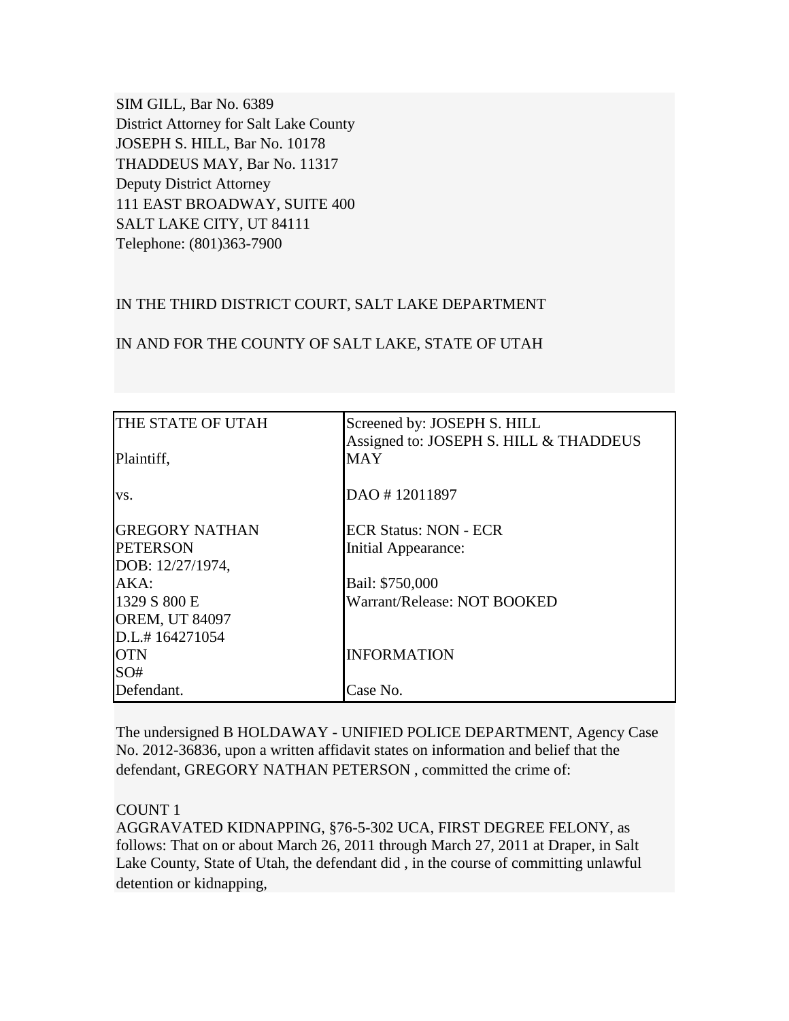SIM GILL, Bar No. 6389 District Attorney for Salt Lake County JOSEPH S. HILL, Bar No. 10178 THADDEUS MAY, Bar No. 11317 Deputy District Attorney 111 EAST BROADWAY, SUITE 400 SALT LAKE CITY, UT 84111 Telephone: (801)363-7900

## IN THE THIRD DISTRICT COURT, SALT LAKE DEPARTMENT

### IN AND FOR THE COUNTY OF SALT LAKE, STATE OF UTAH

| <b>THE STATE OF UTAH</b> | Screened by: JOSEPH S. HILL<br>Assigned to: JOSEPH S. HILL & THADDEUS |
|--------------------------|-----------------------------------------------------------------------|
| Plaintiff,               | <b>MAY</b>                                                            |
| VS.                      | DAO #12011897                                                         |
| <b>GREGORY NATHAN</b>    | <b>ECR Status: NON - ECR</b>                                          |
| <b>PETERSON</b>          | Initial Appearance:                                                   |
| DOB: 12/27/1974,         |                                                                       |
| AKA:                     | Bail: \$750,000                                                       |
| 1329 S 800 E             | Warrant/Release: NOT BOOKED                                           |
| <b>OREM, UT 84097</b>    |                                                                       |
| D.L.#164271054           |                                                                       |
| <b>OTN</b>               | <b>INFORMATION</b>                                                    |
| SO#                      |                                                                       |
| Defendant.               | Case No.                                                              |

The undersigned B HOLDAWAY - UNIFIED POLICE DEPARTMENT, Agency Case No. 2012-36836, upon a written affidavit states on information and belief that the defendant, GREGORY NATHAN PETERSON , committed the crime of:

#### COUNT 1

AGGRAVATED KIDNAPPING, §76-5-302 UCA, FIRST DEGREE FELONY, as follows: That on or about March 26, 2011 through March 27, 2011 at Draper, in Salt Lake County, State of Utah, the defendant did , in the course of committing unlawful detention or kidnapping,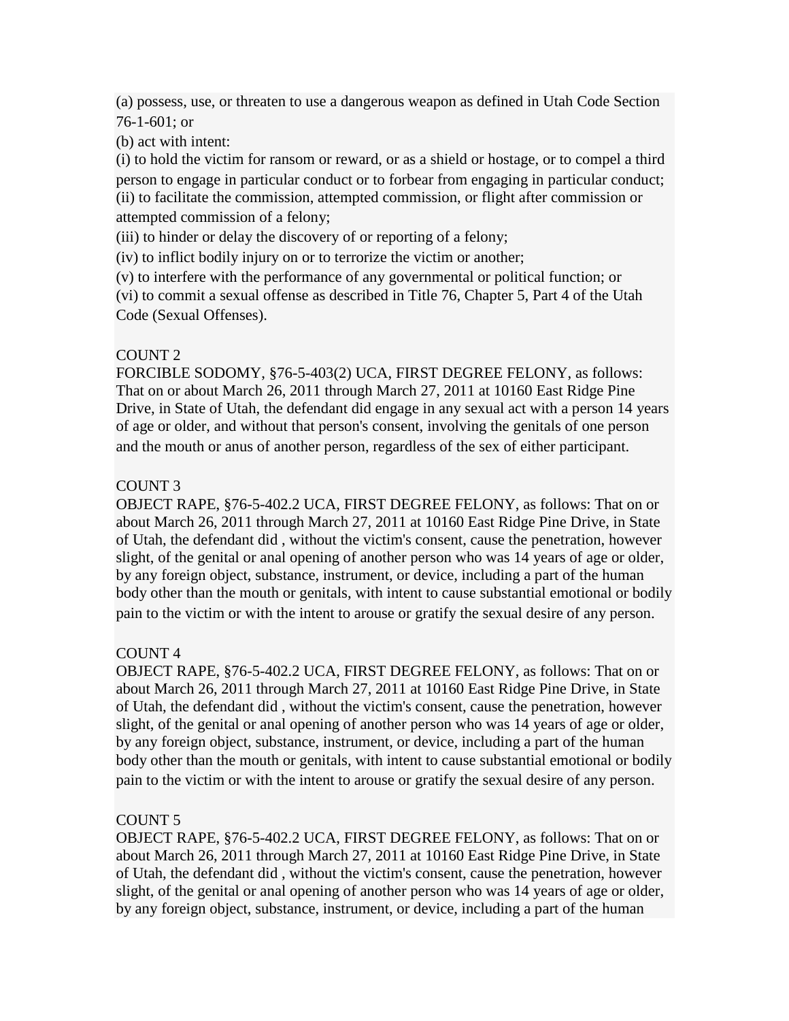(a) possess, use, or threaten to use a dangerous weapon as defined in Utah Code Section 76-1-601; or

(b) act with intent:

(i) to hold the victim for ransom or reward, or as a shield or hostage, or to compel a third person to engage in particular conduct or to forbear from engaging in particular conduct; (ii) to facilitate the commission, attempted commission, or flight after commission or attempted commission of a felony;

(iii) to hinder or delay the discovery of or reporting of a felony;

(iv) to inflict bodily injury on or to terrorize the victim or another;

(v) to interfere with the performance of any governmental or political function; or (vi) to commit a sexual offense as described in Title 76, Chapter 5, Part 4 of the Utah Code (Sexual Offenses).

# COUNT 2

FORCIBLE SODOMY, §76-5-403(2) UCA, FIRST DEGREE FELONY, as follows: That on or about March 26, 2011 through March 27, 2011 at 10160 East Ridge Pine Drive, in State of Utah, the defendant did engage in any sexual act with a person 14 years of age or older, and without that person's consent, involving the genitals of one person and the mouth or anus of another person, regardless of the sex of either participant.

# COUNT 3

OBJECT RAPE, §76-5-402.2 UCA, FIRST DEGREE FELONY, as follows: That on or about March 26, 2011 through March 27, 2011 at 10160 East Ridge Pine Drive, in State of Utah, the defendant did , without the victim's consent, cause the penetration, however slight, of the genital or anal opening of another person who was 14 years of age or older, by any foreign object, substance, instrument, or device, including a part of the human body other than the mouth or genitals, with intent to cause substantial emotional or bodily pain to the victim or with the intent to arouse or gratify the sexual desire of any person.

# COUNT 4

OBJECT RAPE, §76-5-402.2 UCA, FIRST DEGREE FELONY, as follows: That on or about March 26, 2011 through March 27, 2011 at 10160 East Ridge Pine Drive, in State of Utah, the defendant did , without the victim's consent, cause the penetration, however slight, of the genital or anal opening of another person who was 14 years of age or older, by any foreign object, substance, instrument, or device, including a part of the human body other than the mouth or genitals, with intent to cause substantial emotional or bodily pain to the victim or with the intent to arouse or gratify the sexual desire of any person.

# COUNT 5

OBJECT RAPE, §76-5-402.2 UCA, FIRST DEGREE FELONY, as follows: That on or about March 26, 2011 through March 27, 2011 at 10160 East Ridge Pine Drive, in State of Utah, the defendant did , without the victim's consent, cause the penetration, however slight, of the genital or anal opening of another person who was 14 years of age or older, by any foreign object, substance, instrument, or device, including a part of the human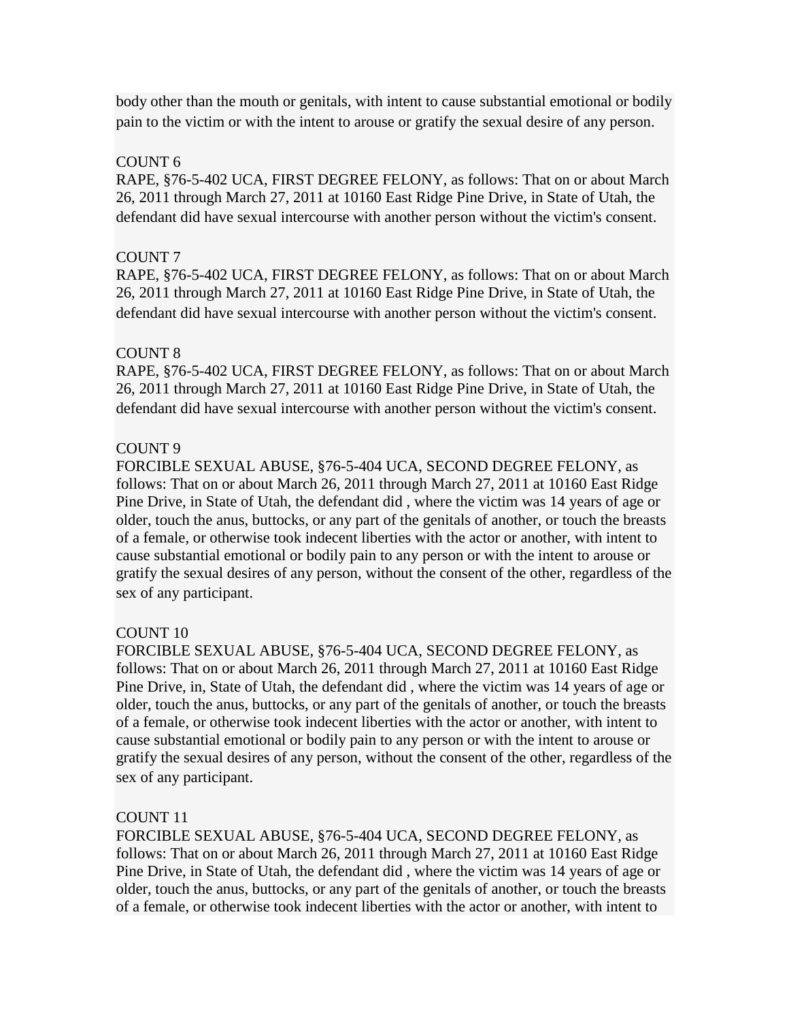body other than the mouth or genitals, with intent to cause substantial emotional or bodily pain to the victim or with the intent to arouse or gratify the sexual desire of any person.

### COUNT 6

RAPE, §76-5-402 UCA, FIRST DEGREE FELONY, as follows: That on or about March 26, 2011 through March 27, 2011 at 10160 East Ridge Pine Drive, in State of Utah, the defendant did have sexual intercourse with another person without the victim's consent.

### COUNT 7

RAPE, §76-5-402 UCA, FIRST DEGREE FELONY, as follows: That on or about March 26, 2011 through March 27, 2011 at 10160 East Ridge Pine Drive, in State of Utah, the defendant did have sexual intercourse with another person without the victim's consent.

### COUNT 8

RAPE, §76-5-402 UCA, FIRST DEGREE FELONY, as follows: That on or about March 26, 2011 through March 27, 2011 at 10160 East Ridge Pine Drive, in State of Utah, the defendant did have sexual intercourse with another person without the victim's consent.

### COUNT 9

FORCIBLE SEXUAL ABUSE, §76-5-404 UCA, SECOND DEGREE FELONY, as follows: That on or about March 26, 2011 through March 27, 2011 at 10160 East Ridge Pine Drive, in State of Utah, the defendant did , where the victim was 14 years of age or older, touch the anus, buttocks, or any part of the genitals of another, or touch the breasts of a female, or otherwise took indecent liberties with the actor or another, with intent to cause substantial emotional or bodily pain to any person or with the intent to arouse or gratify the sexual desires of any person, without the consent of the other, regardless of the sex of any participant.

## COUNT 10

FORCIBLE SEXUAL ABUSE, §76-5-404 UCA, SECOND DEGREE FELONY, as follows: That on or about March 26, 2011 through March 27, 2011 at 10160 East Ridge Pine Drive, in, State of Utah, the defendant did , where the victim was 14 years of age or older, touch the anus, buttocks, or any part of the genitals of another, or touch the breasts of a female, or otherwise took indecent liberties with the actor or another, with intent to cause substantial emotional or bodily pain to any person or with the intent to arouse or gratify the sexual desires of any person, without the consent of the other, regardless of the sex of any participant.

#### COUNT 11

FORCIBLE SEXUAL ABUSE, §76-5-404 UCA, SECOND DEGREE FELONY, as follows: That on or about March 26, 2011 through March 27, 2011 at 10160 East Ridge Pine Drive, in State of Utah, the defendant did , where the victim was 14 years of age or older, touch the anus, buttocks, or any part of the genitals of another, or touch the breasts of a female, or otherwise took indecent liberties with the actor or another, with intent to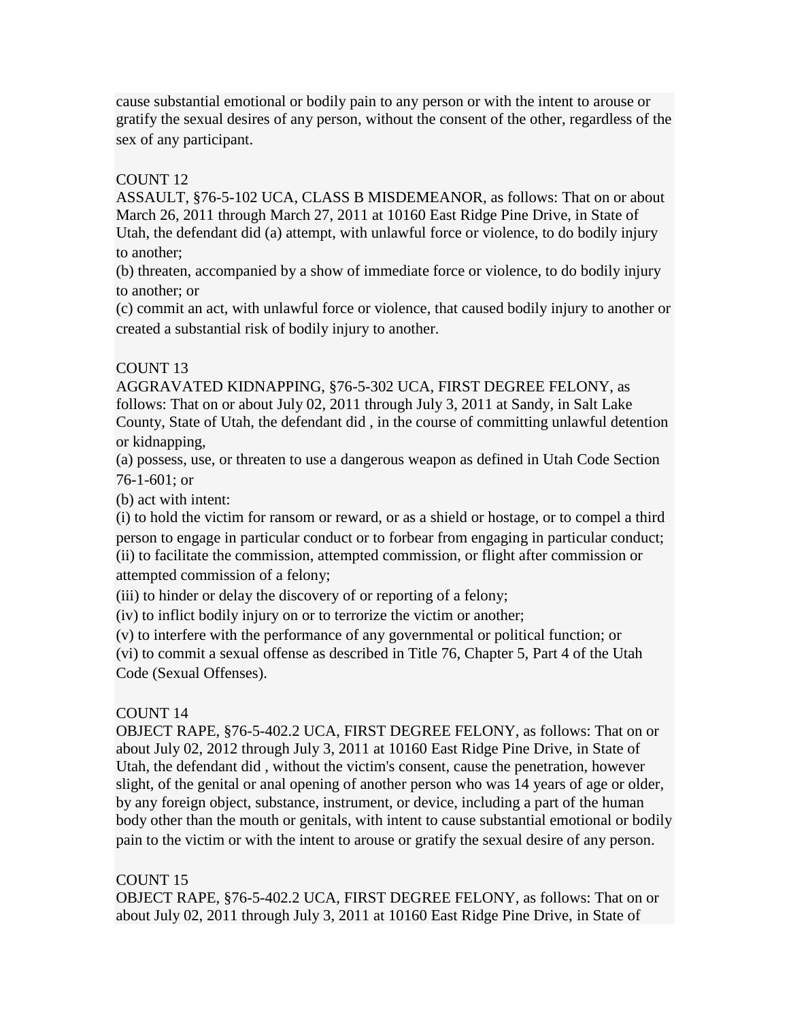cause substantial emotional or bodily pain to any person or with the intent to arouse or gratify the sexual desires of any person, without the consent of the other, regardless of the sex of any participant.

## COUNT 12

ASSAULT, §76-5-102 UCA, CLASS B MISDEMEANOR, as follows: That on or about March 26, 2011 through March 27, 2011 at 10160 East Ridge Pine Drive, in State of Utah, the defendant did (a) attempt, with unlawful force or violence, to do bodily injury to another;

(b) threaten, accompanied by a show of immediate force or violence, to do bodily injury to another; or

(c) commit an act, with unlawful force or violence, that caused bodily injury to another or created a substantial risk of bodily injury to another.

# COUNT<sub>13</sub>

AGGRAVATED KIDNAPPING, §76-5-302 UCA, FIRST DEGREE FELONY, as follows: That on or about July 02, 2011 through July 3, 2011 at Sandy, in Salt Lake County, State of Utah, the defendant did , in the course of committing unlawful detention or kidnapping,

(a) possess, use, or threaten to use a dangerous weapon as defined in Utah Code Section 76-1-601; or

(b) act with intent:

(i) to hold the victim for ransom or reward, or as a shield or hostage, or to compel a third person to engage in particular conduct or to forbear from engaging in particular conduct; (ii) to facilitate the commission, attempted commission, or flight after commission or attempted commission of a felony;

(iii) to hinder or delay the discovery of or reporting of a felony;

(iv) to inflict bodily injury on or to terrorize the victim or another;

(v) to interfere with the performance of any governmental or political function; or

(vi) to commit a sexual offense as described in Title 76, Chapter 5, Part 4 of the Utah Code (Sexual Offenses).

# COUNT 14

OBJECT RAPE, §76-5-402.2 UCA, FIRST DEGREE FELONY, as follows: That on or about July 02, 2012 through July 3, 2011 at 10160 East Ridge Pine Drive, in State of Utah, the defendant did , without the victim's consent, cause the penetration, however slight, of the genital or anal opening of another person who was 14 years of age or older, by any foreign object, substance, instrument, or device, including a part of the human body other than the mouth or genitals, with intent to cause substantial emotional or bodily pain to the victim or with the intent to arouse or gratify the sexual desire of any person.

# COUNT 15

OBJECT RAPE, §76-5-402.2 UCA, FIRST DEGREE FELONY, as follows: That on or about July 02, 2011 through July 3, 2011 at 10160 East Ridge Pine Drive, in State of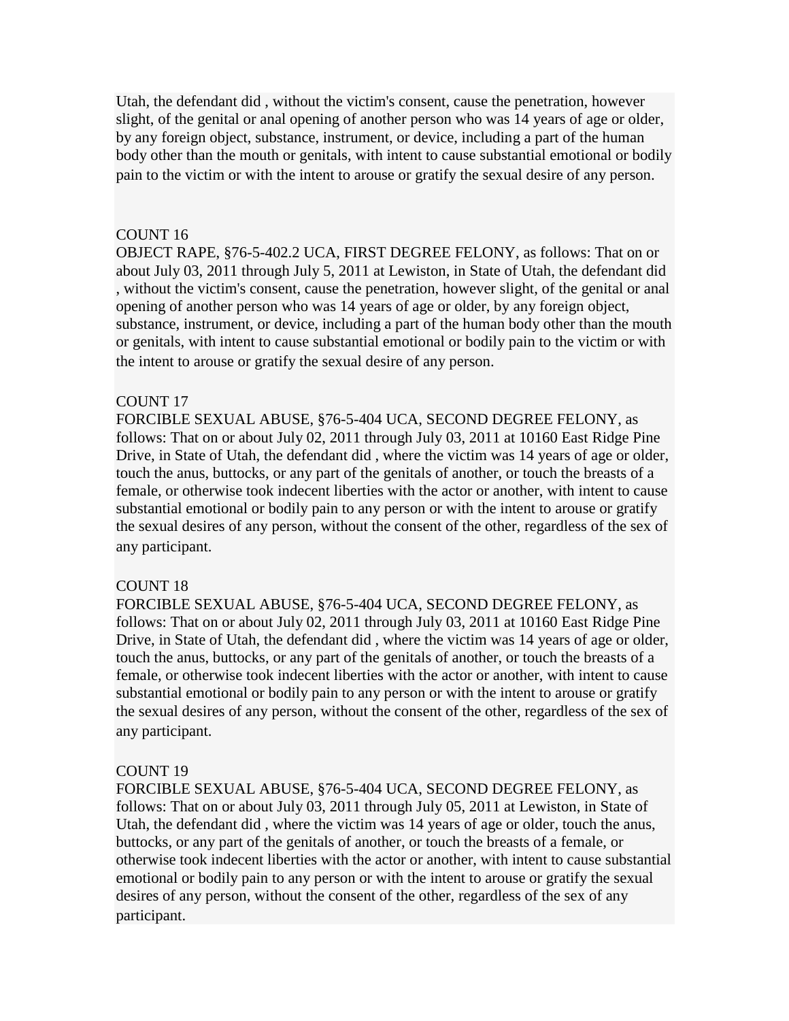Utah, the defendant did , without the victim's consent, cause the penetration, however slight, of the genital or anal opening of another person who was 14 years of age or older, by any foreign object, substance, instrument, or device, including a part of the human body other than the mouth or genitals, with intent to cause substantial emotional or bodily pain to the victim or with the intent to arouse or gratify the sexual desire of any person.

#### COUNT 16

OBJECT RAPE, §76-5-402.2 UCA, FIRST DEGREE FELONY, as follows: That on or about July 03, 2011 through July 5, 2011 at Lewiston, in State of Utah, the defendant did , without the victim's consent, cause the penetration, however slight, of the genital or anal opening of another person who was 14 years of age or older, by any foreign object, substance, instrument, or device, including a part of the human body other than the mouth or genitals, with intent to cause substantial emotional or bodily pain to the victim or with the intent to arouse or gratify the sexual desire of any person.

#### COUNT 17

FORCIBLE SEXUAL ABUSE, §76-5-404 UCA, SECOND DEGREE FELONY, as follows: That on or about July 02, 2011 through July 03, 2011 at 10160 East Ridge Pine Drive, in State of Utah, the defendant did , where the victim was 14 years of age or older, touch the anus, buttocks, or any part of the genitals of another, or touch the breasts of a female, or otherwise took indecent liberties with the actor or another, with intent to cause substantial emotional or bodily pain to any person or with the intent to arouse or gratify the sexual desires of any person, without the consent of the other, regardless of the sex of any participant.

#### COUNT 18

FORCIBLE SEXUAL ABUSE, §76-5-404 UCA, SECOND DEGREE FELONY, as follows: That on or about July 02, 2011 through July 03, 2011 at 10160 East Ridge Pine Drive, in State of Utah, the defendant did , where the victim was 14 years of age or older, touch the anus, buttocks, or any part of the genitals of another, or touch the breasts of a female, or otherwise took indecent liberties with the actor or another, with intent to cause substantial emotional or bodily pain to any person or with the intent to arouse or gratify the sexual desires of any person, without the consent of the other, regardless of the sex of any participant.

#### COUNT 19

FORCIBLE SEXUAL ABUSE, §76-5-404 UCA, SECOND DEGREE FELONY, as follows: That on or about July 03, 2011 through July 05, 2011 at Lewiston, in State of Utah, the defendant did , where the victim was 14 years of age or older, touch the anus, buttocks, or any part of the genitals of another, or touch the breasts of a female, or otherwise took indecent liberties with the actor or another, with intent to cause substantial emotional or bodily pain to any person or with the intent to arouse or gratify the sexual desires of any person, without the consent of the other, regardless of the sex of any participant.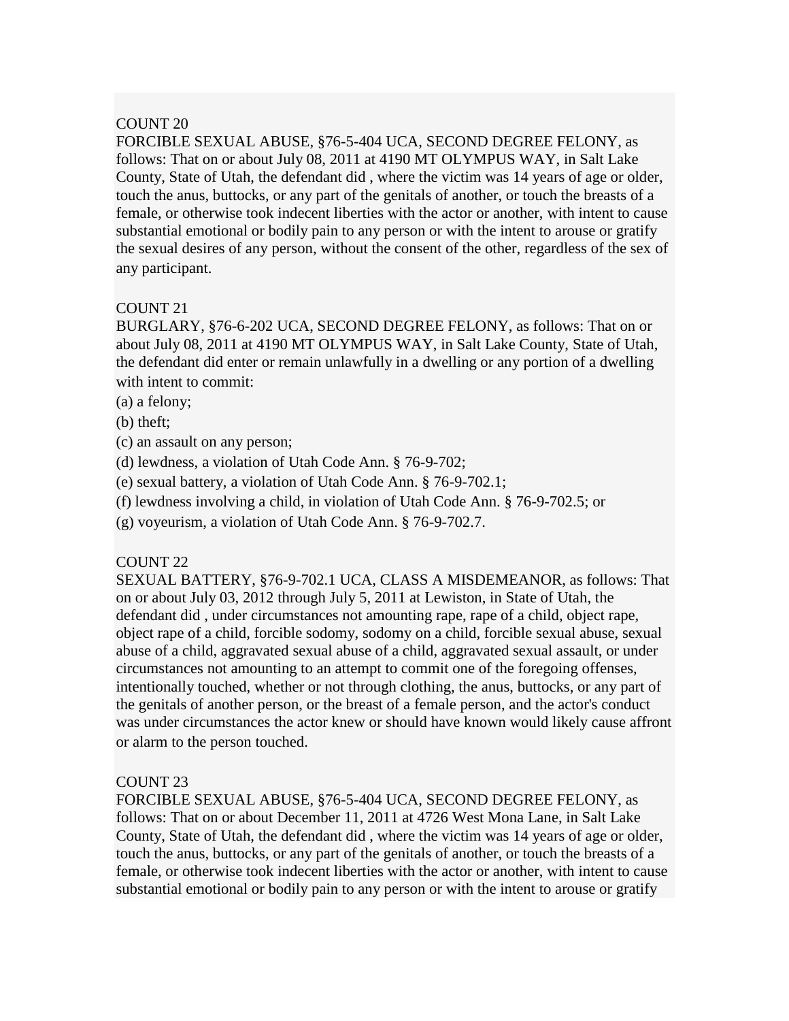## COUNT<sub>20</sub>

FORCIBLE SEXUAL ABUSE, §76-5-404 UCA, SECOND DEGREE FELONY, as follows: That on or about July 08, 2011 at 4190 MT OLYMPUS WAY, in Salt Lake County, State of Utah, the defendant did , where the victim was 14 years of age or older, touch the anus, buttocks, or any part of the genitals of another, or touch the breasts of a female, or otherwise took indecent liberties with the actor or another, with intent to cause substantial emotional or bodily pain to any person or with the intent to arouse or gratify the sexual desires of any person, without the consent of the other, regardless of the sex of any participant.

### COUNT 21

BURGLARY, §76-6-202 UCA, SECOND DEGREE FELONY, as follows: That on or about July 08, 2011 at 4190 MT OLYMPUS WAY, in Salt Lake County, State of Utah, the defendant did enter or remain unlawfully in a dwelling or any portion of a dwelling with intent to commit:

- (a) a felony;
- (b) theft;
- (c) an assault on any person;
- (d) lewdness, a violation of Utah Code Ann. § 76-9-702;
- (e) sexual battery, a violation of Utah Code Ann. § 76-9-702.1;
- (f) lewdness involving a child, in violation of Utah Code Ann. § 76-9-702.5; or
- (g) voyeurism, a violation of Utah Code Ann. § 76-9-702.7.

#### COUNT 22

SEXUAL BATTERY, §76-9-702.1 UCA, CLASS A MISDEMEANOR, as follows: That on or about July 03, 2012 through July 5, 2011 at Lewiston, in State of Utah, the defendant did , under circumstances not amounting rape, rape of a child, object rape, object rape of a child, forcible sodomy, sodomy on a child, forcible sexual abuse, sexual abuse of a child, aggravated sexual abuse of a child, aggravated sexual assault, or under circumstances not amounting to an attempt to commit one of the foregoing offenses, intentionally touched, whether or not through clothing, the anus, buttocks, or any part of the genitals of another person, or the breast of a female person, and the actor's conduct was under circumstances the actor knew or should have known would likely cause affront or alarm to the person touched.

#### COUNT 23

FORCIBLE SEXUAL ABUSE, §76-5-404 UCA, SECOND DEGREE FELONY, as follows: That on or about December 11, 2011 at 4726 West Mona Lane, in Salt Lake County, State of Utah, the defendant did , where the victim was 14 years of age or older, touch the anus, buttocks, or any part of the genitals of another, or touch the breasts of a female, or otherwise took indecent liberties with the actor or another, with intent to cause substantial emotional or bodily pain to any person or with the intent to arouse or gratify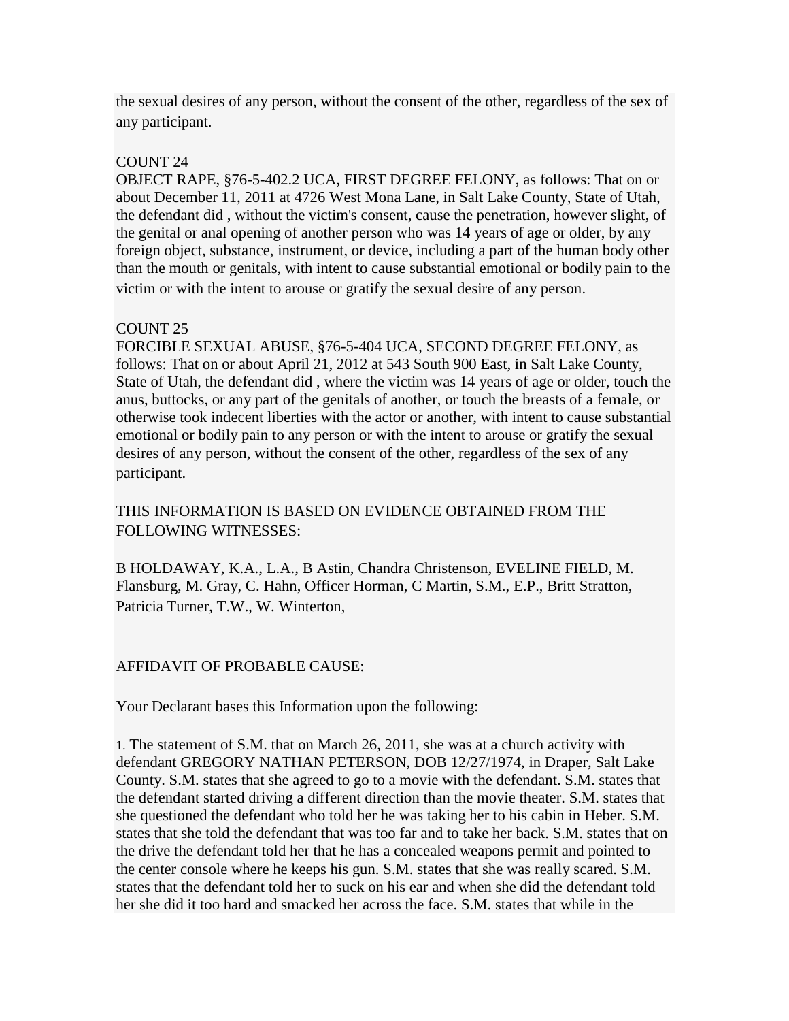the sexual desires of any person, without the consent of the other, regardless of the sex of any participant.

## COUNT 24

OBJECT RAPE, §76-5-402.2 UCA, FIRST DEGREE FELONY, as follows: That on or about December 11, 2011 at 4726 West Mona Lane, in Salt Lake County, State of Utah, the defendant did , without the victim's consent, cause the penetration, however slight, of the genital or anal opening of another person who was 14 years of age or older, by any foreign object, substance, instrument, or device, including a part of the human body other than the mouth or genitals, with intent to cause substantial emotional or bodily pain to the victim or with the intent to arouse or gratify the sexual desire of any person.

### COUNT<sub>25</sub>

FORCIBLE SEXUAL ABUSE, §76-5-404 UCA, SECOND DEGREE FELONY, as follows: That on or about April 21, 2012 at 543 South 900 East, in Salt Lake County, State of Utah, the defendant did , where the victim was 14 years of age or older, touch the anus, buttocks, or any part of the genitals of another, or touch the breasts of a female, or otherwise took indecent liberties with the actor or another, with intent to cause substantial emotional or bodily pain to any person or with the intent to arouse or gratify the sexual desires of any person, without the consent of the other, regardless of the sex of any participant.

# THIS INFORMATION IS BASED ON EVIDENCE OBTAINED FROM THE FOLLOWING WITNESSES:

B HOLDAWAY, K.A., L.A., B Astin, Chandra Christenson, EVELINE FIELD, M. Flansburg, M. Gray, C. Hahn, Officer Horman, C Martin, S.M., E.P., Britt Stratton, Patricia Turner, T.W., W. Winterton,

## AFFIDAVIT OF PROBABLE CAUSE:

Your Declarant bases this Information upon the following:

1. The statement of S.M. that on March 26, 2011, she was at a church activity with defendant GREGORY NATHAN PETERSON, DOB 12/27/1974, in Draper, Salt Lake County. S.M. states that she agreed to go to a movie with the defendant. S.M. states that the defendant started driving a different direction than the movie theater. S.M. states that she questioned the defendant who told her he was taking her to his cabin in Heber. S.M. states that she told the defendant that was too far and to take her back. S.M. states that on the drive the defendant told her that he has a concealed weapons permit and pointed to the center console where he keeps his gun. S.M. states that she was really scared. S.M. states that the defendant told her to suck on his ear and when she did the defendant told her she did it too hard and smacked her across the face. S.M. states that while in the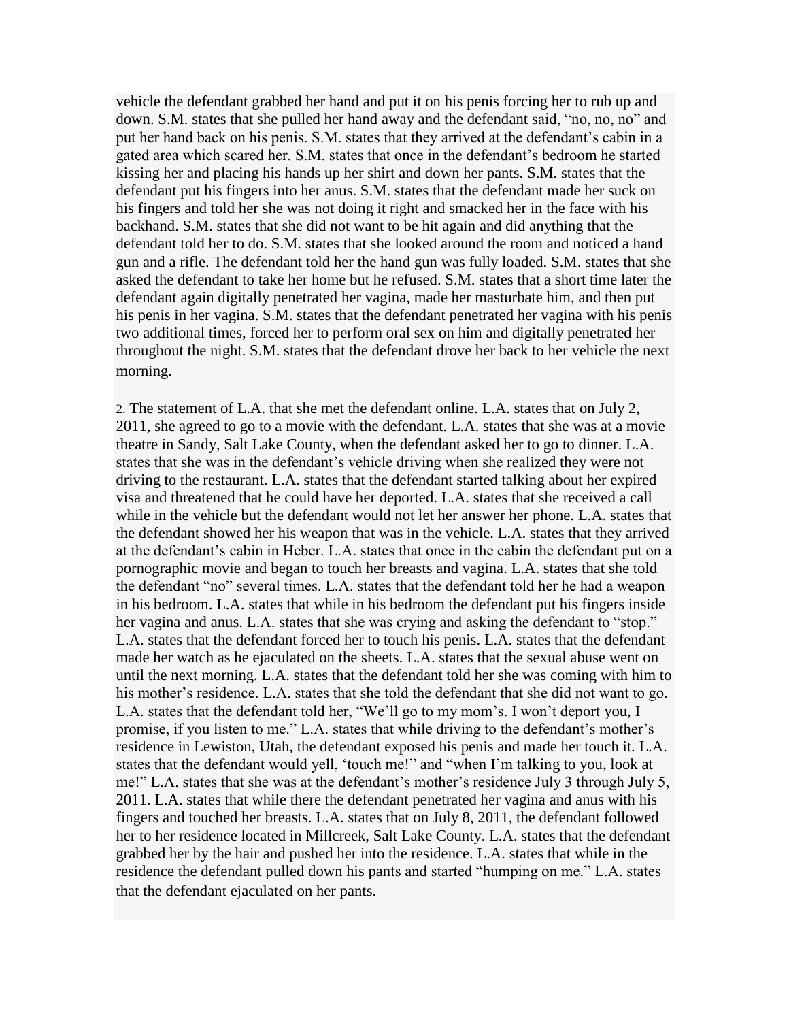vehicle the defendant grabbed her hand and put it on his penis forcing her to rub up and down. S.M. states that she pulled her hand away and the defendant said, "no, no, no" and put her hand back on his penis. S.M. states that they arrived at the defendant's cabin in a gated area which scared her. S.M. states that once in the defendant's bedroom he started kissing her and placing his hands up her shirt and down her pants. S.M. states that the defendant put his fingers into her anus. S.M. states that the defendant made her suck on his fingers and told her she was not doing it right and smacked her in the face with his backhand. S.M. states that she did not want to be hit again and did anything that the defendant told her to do. S.M. states that she looked around the room and noticed a hand gun and a rifle. The defendant told her the hand gun was fully loaded. S.M. states that she asked the defendant to take her home but he refused. S.M. states that a short time later the defendant again digitally penetrated her vagina, made her masturbate him, and then put his penis in her vagina. S.M. states that the defendant penetrated her vagina with his penis two additional times, forced her to perform oral sex on him and digitally penetrated her throughout the night. S.M. states that the defendant drove her back to her vehicle the next morning.

2. The statement of L.A. that she met the defendant online. L.A. states that on July 2, 2011, she agreed to go to a movie with the defendant. L.A. states that she was at a movie theatre in Sandy, Salt Lake County, when the defendant asked her to go to dinner. L.A. states that she was in the defendant's vehicle driving when she realized they were not driving to the restaurant. L.A. states that the defendant started talking about her expired visa and threatened that he could have her deported. L.A. states that she received a call while in the vehicle but the defendant would not let her answer her phone. L.A. states that the defendant showed her his weapon that was in the vehicle. L.A. states that they arrived at the defendant's cabin in Heber. L.A. states that once in the cabin the defendant put on a pornographic movie and began to touch her breasts and vagina. L.A. states that she told the defendant "no" several times. L.A. states that the defendant told her he had a weapon in his bedroom. L.A. states that while in his bedroom the defendant put his fingers inside her vagina and anus. L.A. states that she was crying and asking the defendant to "stop." L.A. states that the defendant forced her to touch his penis. L.A. states that the defendant made her watch as he ejaculated on the sheets. L.A. states that the sexual abuse went on until the next morning. L.A. states that the defendant told her she was coming with him to his mother's residence. L.A. states that she told the defendant that she did not want to go. L.A. states that the defendant told her, "We'll go to my mom's. I won't deport you, I promise, if you listen to me." L.A. states that while driving to the defendant's mother's residence in Lewiston, Utah, the defendant exposed his penis and made her touch it. L.A. states that the defendant would yell, 'touch me!" and "when I'm talking to you, look at me!" L.A. states that she was at the defendant's mother's residence July 3 through July 5, 2011. L.A. states that while there the defendant penetrated her vagina and anus with his fingers and touched her breasts. L.A. states that on July 8, 2011, the defendant followed her to her residence located in Millcreek, Salt Lake County. L.A. states that the defendant grabbed her by the hair and pushed her into the residence. L.A. states that while in the residence the defendant pulled down his pants and started "humping on me." L.A. states that the defendant ejaculated on her pants.